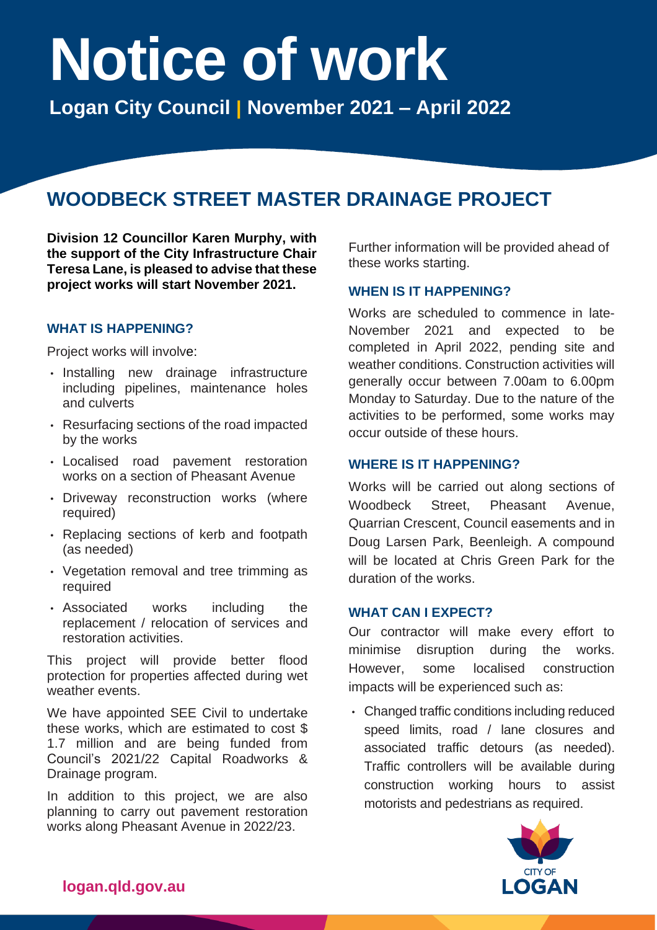# **Notice of work Logan City Council** <sup>|</sup> **November 2021 – April 2022**

# **WOODBECK STREET MASTER DRAINAGE PROJECT**

 **the support of the City Infrastructure Chair Teresa Lane, is pleased to advise that these Division 12 Councillor Karen Murphy, with project works will start November 2021.** 

### **WHAT IS HAPPENING?**

Project works will involve:

- including pipelines, maintenance holes • Installing new drainage infrastructure and culverts
- • Resurfacing sections of the road impacted by the works
- • Localised road pavement restoration works on a section of Pheasant Avenue
- Driveway reconstruction works (where required)
- • Replacing sections of kerb and footpath (as needed)
- Vegetation removal and tree trimming as required
- including • Associated works including the replacement / relocation of services and restoration activities.

 This project will provide better flood protection for properties affected during wet weather events.

 We have appointed SEE Civil to undertake these works, which are estimated to cost \$ 1.7 million and are being funded from Drainage program. Council's 2021/22 Capital Roadworks &

Drainage program.<br>In addition to this project, we are also planning to carry out pavement restoration works along Pheasant Avenue in 2022/23.

 Further information will be provided ahead of these works starting.

#### **WHEN IS IT HAPPENING?**

 Works are scheduled to commence in late- November 2021 and expected to be completed in April 2022, pending site and weather conditions. Construction activities will generally occur between 7.00am to 6.00pm Monday to Saturday. Due to the nature of the activities to be performed, some works may occur outside of these hours.

#### **WHERE IS IT HAPPENING?**

 Works will be carried out along sections of Quarrian Crescent, Council easements and in Doug Larsen Park, Beenleigh. A compound will be located at Chris Green Park for the Woodbeck Street, Pheasant Avenue, duration of the works.

#### **WHAT CAN I EXPECT?**

 Our contractor will make every effort to minimise disruption during the works. some However, some localised construction impacts will be experienced such as:

 • Changed traffic conditions including reduced speed limits, road / lane closures and associated traffic detours (as needed). Traffic controllers will be available during construction working hours to assist motorists and pedestrians as required.



logan.qld.gov.au